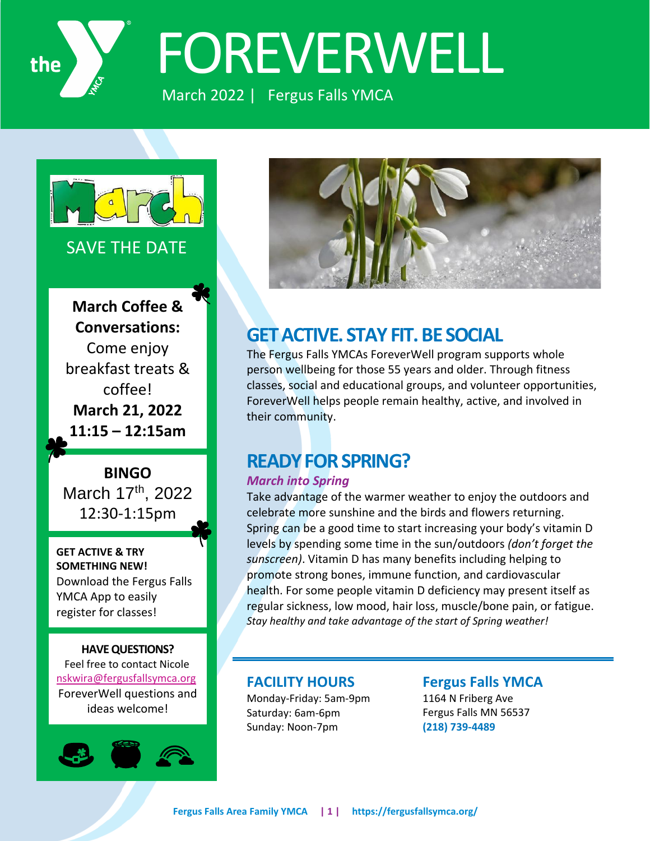

# FOREVERWELL

March 2022 | Fergus Falls YMCA



#### SAVE THE DATE

**March Coffee & Conversations:** Come enjoy breakfast treats & coffee! **March 21, 2022 11:15 – 12:15am**

**BINGO** March 17th, 2022 12:30-1:15pm

**GET ACTIVE & TRY SOMETHING NEW!** Download the Fergus Falls YMCA App to easily register for classes!

#### **HAVE QUESTIONS?**

 Feel free to contact Nicole [nskwira@fergusfallsymca.org](mailto:nskwira@fergusfallsymca.org) ForeverWell questions and ideas welcome!





## **GET ACTIVE. STAY FIT. BE SOCIAL**

The Fergus Falls YMCAs ForeverWell program supports whole person wellbeing for those 55 years and older. Through fitness classes, social and educational groups, and volunteer opportunities, ForeverWell helps people remain healthy, active, and involved in their community.

## **READY FOR SPRING?**

#### *March into Spring*

Take advantage of the warmer weather to enjoy the outdoors and celebrate more sunshine and the birds and flowers returning. Spring can be a good time to start increasing your body's vitamin D levels by spending some time in the sun/outdoors *(don't forget the sunscreen)*. Vitamin D has many benefits including helping to promote strong bones, immune function, and cardiovascular health. For some people vitamin D deficiency may present itself as regular sickness, low mood, hair loss, muscle/bone pain, or fatigue. *Stay healthy and take advantage of the start of Spring weather!*

#### **FACILITY HOURS**

Monday-Friday: 5am-9pm Saturday: 6am-6pm Sunday: Noon-7pm

**Fergus Falls YMCA**  1164 N Friberg Ave Fergus Falls MN 56537 **(218) 739-4489**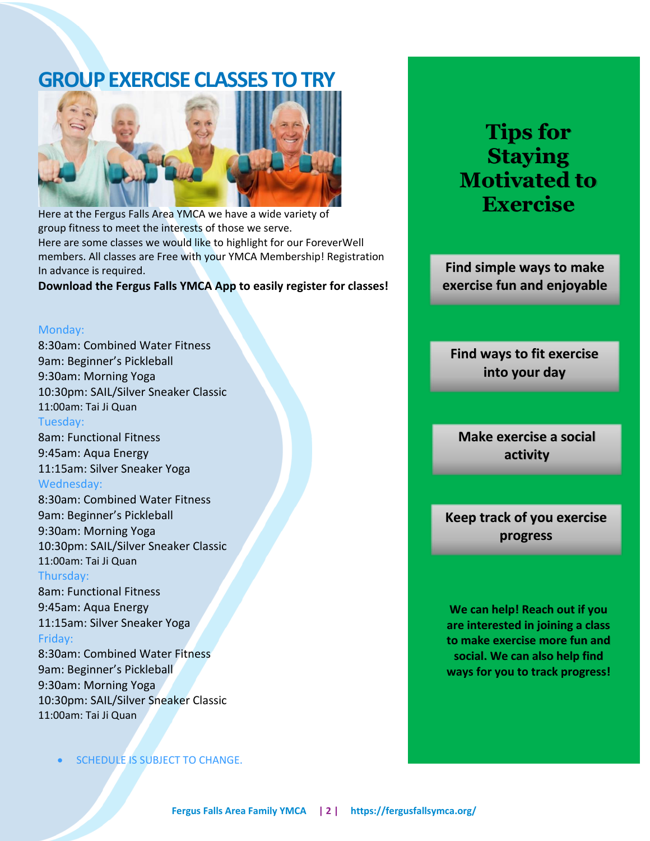## **GROUP EXERCISE CLASSES TO TRY**



Here at the Fergus Falls Area YMCA we have a wide variety of group fitness to meet the interests of those we serve. Here are some classes we would like to highlight for our ForeverWell members. All classes are Free with your YMCA Membership! Registration In advance is required.

#### **Download the Fergus Falls YMCA App to easily register for classes!**

#### Monday:

8:30am: Combined Water Fitness 9am: Beginner's Pickleball 9:30am: Morning Yoga 10:30pm: SAIL/Silver Sneaker Classic 11:00am: Tai Ji Quan Tuesday:

8am: Functional Fitness 9:45am: Aqua Energy 11:15am: Silver Sneaker Yoga Wednesday:

8:30am: Combined Water Fitness 9am: Beginner's Pickleball 9:30am: Morning Yoga 10:30pm: SAIL/Silver Sneaker Classic 11:00am: Tai Ji Quan Thursday:

8am: Functional Fitness

9:45am: Aqua Energy 11:15am: Silver Sneaker Yoga Friday:

8:30am: Combined Water Fitness 9am: Beginner's Pickleball 9:30am: Morning Yoga 10:30pm: SAIL/Silver Sneaker Classic 11:00am: Tai Ji Quan

SCHEDULE IS SUBJECT TO CHANGE.

# **Tips for Staying Motivated to Exercise**

**Find simple ways to make exercise fun and enjoyable**

**Find ways to fit exercise into your day**

**Make exercise a social activity**

**Keep track of you exercise progress**

**We can help! Reach out if you are interested in joining a class to make exercise more fun and social. We can also help find ways for you to track progress!**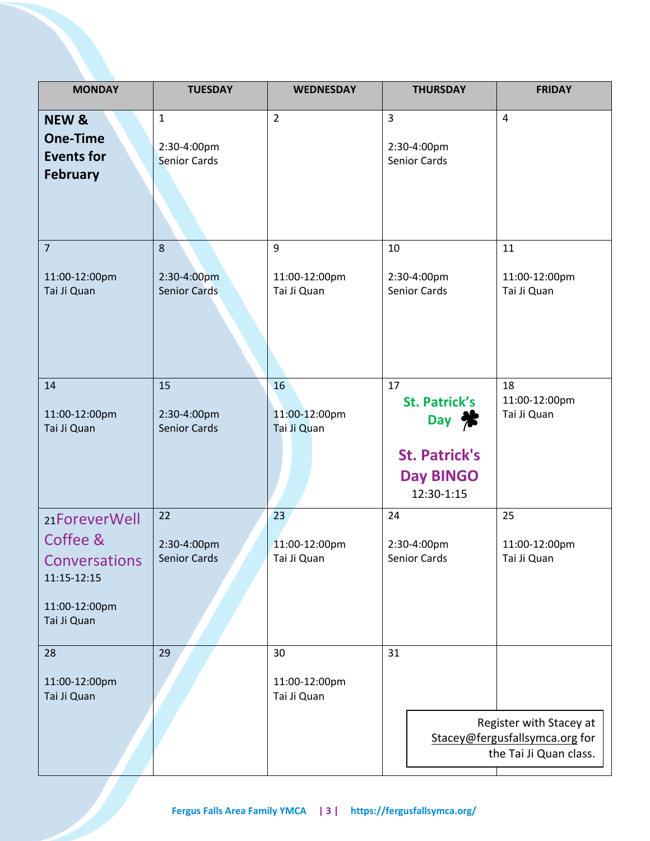| <b>MONDAY</b>                                                                                    | <b>TUESDAY</b>                           | <b>WEDNESDAY</b>                   | <b>THURSDAY</b>                                                                                      | <b>FRIDAY</b>                                                                       |
|--------------------------------------------------------------------------------------------------|------------------------------------------|------------------------------------|------------------------------------------------------------------------------------------------------|-------------------------------------------------------------------------------------|
| <b>NEW &amp;</b><br><b>One-Time</b><br><b>Events for</b><br><b>February</b>                      | 1<br>2:30-4:00pm<br><b>Senior Cards</b>  | $\overline{2}$                     | 3<br>2:30-4:00pm<br>Senior Cards                                                                     | 4                                                                                   |
| $\overline{7}$<br>11:00-12:00pm<br>Tai Ji Quan                                                   | 8<br>2:30-4:00pm<br><b>Senior Cards</b>  | 9<br>11:00-12:00pm<br>Tai Ji Quan  | 10<br>2:30-4:00pm<br>Senior Cards                                                                    | 11<br>11:00-12:00pm<br>Tai Ji Quan                                                  |
| 14<br>11:00-12:00pm<br>Tai Ji Quan                                                               | 15<br>2:30-4:00pm<br><b>Senior Cards</b> | 16<br>11:00-12:00pm<br>Tai Ji Quan | 17<br><b>St. Patrick's</b><br>Day <b>*</b><br><b>St. Patrick's</b><br><b>Day BINGO</b><br>12:30-1:15 | 18<br>11:00-12:00pm<br>Tai Ji Quan                                                  |
| 21ForeverWell<br>Coffee &<br><b>Conversations</b><br>11:15-12:15<br>11:00-12:00pm<br>Tai Ji Quan | 22<br>2:30-4:00pm<br>Senior Cards        | 23<br>11:00-12:00pm<br>Tai Ji Quan | 24<br>2:30-4:00pm<br>Senior Cards                                                                    | 25<br>11:00-12:00pm<br>Tai Ji Quan                                                  |
| 28<br>11:00-12:00pm<br>Tai Ji Quan                                                               | 29                                       | 30<br>11:00-12:00pm<br>Tai Ji Quan | 31                                                                                                   | Register with Stacey at<br>Stacey@fergusfallsymca.org for<br>the Tai Ji Quan class. |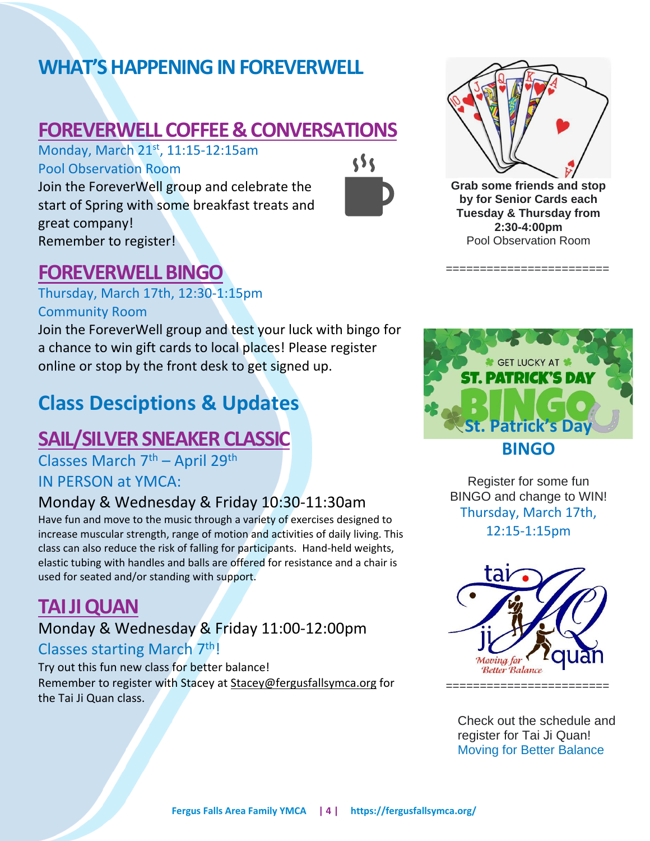# **WHAT'S HAPPENING IN FOREVERWELL**

# **FOREVERWELL COFFEE & CONVERSATIONS**

Monday, March 21<sup>st</sup>, 11:15-12:15am Pool Observation Room

Join the ForeverWell group and celebrate the start of Spring with some breakfast treats and great company! Remember to register!





**Grab some friends and stop by for Senior Cards each Tuesday & Thursday from 2:30-4:00pm** Pool Observation Room

========================

## **FOREVERWELL BINGO**

Thursday, March 17th, 12:30-1:15pm Community Room

Join the ForeverWell group and test your luck with bingo for a chance to win gift cards to local places! Please register online or stop by the front desk to get signed up.

# **Class Desciptions & Updates**

# **SAIL/SILVER SNEAKER CLASSIC**

Classes March 7th – April 29th IN PERSON at YMCA:

#### Monday & Wednesday & Friday 10:30-11:30am

Have fun and move to the music through a variety of exercises designed to increase muscular strength, range of motion and activities of daily living. This class can also reduce the risk of falling for participants. Hand-held weights, elastic tubing with handles and balls are offered for resistance and a chair is used for seated and/or standing with support.

# **TAI JI QUAN**

Monday & Wednesday & Friday 11:00-12:00pm Classes starting March 7th!

Try out this fun new class for better balance! Remember to register with Stacey at Stacey@fergusfallsymca.org for the Tai Ji Quan class.



Register for some fun BINGO and change to WIN! Thursday, March 17th, 12:15-1:15pm



Check out the schedule and register for Tai Ji Quan! Moving for Better Balance